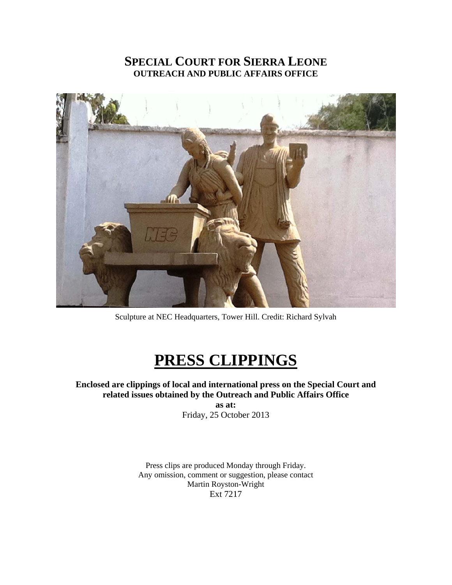# **SPECIAL COURT FOR SIERRA LEONE OUTREACH AND PUBLIC AFFAIRS OFFICE**



Sculpture at NEC Headquarters, Tower Hill. Credit: Richard Sylvah

# **PRESS CLIPPINGS**

**Enclosed are clippings of local and international press on the Special Court and related issues obtained by the Outreach and Public Affairs Office as at:**  Friday, 25 October 2013

> Press clips are produced Monday through Friday. Any omission, comment or suggestion, please contact Martin Royston-Wright Ext 7217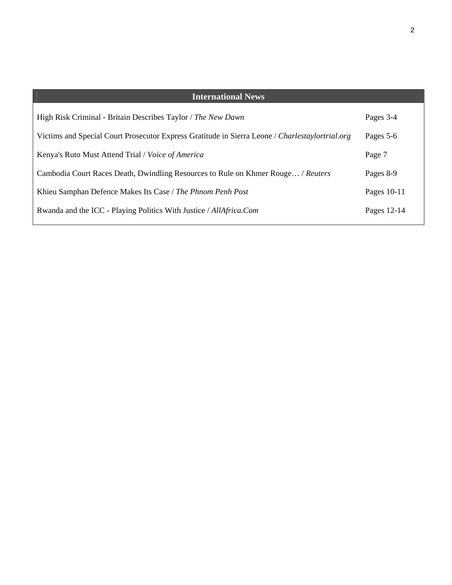| <b>International News</b>                                                                       |             |
|-------------------------------------------------------------------------------------------------|-------------|
|                                                                                                 |             |
| High Risk Criminal - Britain Describes Taylor / The New Dawn                                    | Pages 3-4   |
| Victims and Special Court Prosecutor Express Gratitude in Sierra Leone / Charlestaylortrial.org | Pages 5-6   |
| Kenya's Ruto Must Attend Trial / Voice of America                                               | Page 7      |
| Cambodia Court Races Death, Dwindling Resources to Rule on Khmer Rouge / Reuters                | Pages 8-9   |
| Khieu Samphan Defence Makes Its Case / The Phnom Penh Post                                      | Pages 10-11 |
| Rwanda and the ICC - Playing Politics With Justice / AllAfrica.Com                              | Pages 12-14 |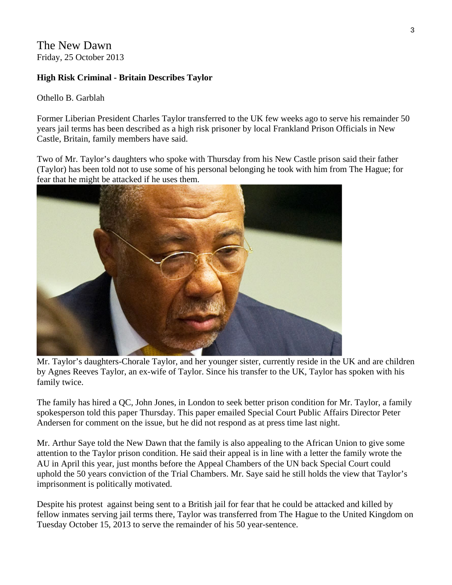The New Dawn Friday, 25 October 2013

#### **High Risk Criminal - Britain Describes Taylor**

Othello B. Garblah

Former Liberian President Charles Taylor transferred to the UK few weeks ago to serve his remainder 50 years jail terms has been described as a high risk prisoner by local Frankland Prison Officials in New Castle, Britain, family members have said.

Two of Mr. Taylor's daughters who spoke with Thursday from his New Castle prison said their father (Taylor) has been told not to use some of his personal belonging he took with him from The Hague; for fear that he might be attacked if he uses them.



Mr. Taylor's daughters-Chorale Taylor, and her younger sister, currently reside in the UK and are children by Agnes Reeves Taylor, an ex-wife of Taylor. Since his transfer to the UK, Taylor has spoken with his family twice.

The family has hired a QC, John Jones, in London to seek better prison condition for Mr. Taylor, a family spokesperson told this paper Thursday. This paper emailed Special Court Public Affairs Director Peter Andersen for comment on the issue, but he did not respond as at press time last night.

Mr. Arthur Saye told the New Dawn that the family is also appealing to the African Union to give some attention to the Taylor prison condition. He said their appeal is in line with a letter the family wrote the AU in April this year, just months before the Appeal Chambers of the UN back Special Court could uphold the 50 years conviction of the Trial Chambers. Mr. Saye said he still holds the view that Taylor's imprisonment is politically motivated.

Despite his protest against being sent to a British jail for fear that he could be attacked and killed by fellow inmates serving jail terms there, Taylor was transferred from The Hague to the United Kingdom on Tuesday October 15, 2013 to serve the remainder of his 50 year-sentence.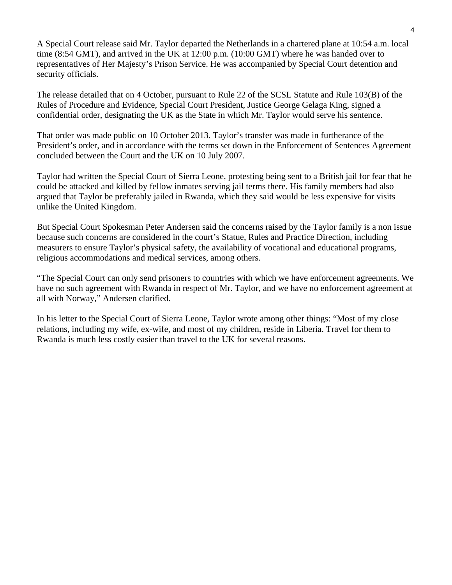A Special Court release said Mr. Taylor departed the Netherlands in a chartered plane at 10:54 a.m. local time (8:54 GMT), and arrived in the UK at 12:00 p.m. (10:00 GMT) where he was handed over to representatives of Her Majesty's Prison Service. He was accompanied by Special Court detention and security officials.

The release detailed that on 4 October, pursuant to Rule 22 of the SCSL Statute and Rule 103(B) of the Rules of Procedure and Evidence, Special Court President, Justice George Gelaga King, signed a confidential order, designating the UK as the State in which Mr. Taylor would serve his sentence.

That order was made public on 10 October 2013. Taylor's transfer was made in furtherance of the President's order, and in accordance with the terms set down in the Enforcement of Sentences Agreement concluded between the Court and the UK on 10 July 2007.

Taylor had written the Special Court of Sierra Leone, protesting being sent to a British jail for fear that he could be attacked and killed by fellow inmates serving jail terms there. His family members had also argued that Taylor be preferably jailed in Rwanda, which they said would be less expensive for visits unlike the United Kingdom.

But Special Court Spokesman Peter Andersen said the concerns raised by the Taylor family is a non issue because such concerns are considered in the court's Statue, Rules and Practice Direction, including measurers to ensure Taylor's physical safety, the availability of vocational and educational programs, religious accommodations and medical services, among others.

"The Special Court can only send prisoners to countries with which we have enforcement agreements. We have no such agreement with Rwanda in respect of Mr. Taylor, and we have no enforcement agreement at all with Norway," Andersen clarified.

In his letter to the Special Court of Sierra Leone, Taylor wrote among other things: "Most of my close relations, including my wife, ex-wife, and most of my children, reside in Liberia. Travel for them to Rwanda is much less costly easier than travel to the UK for several reasons.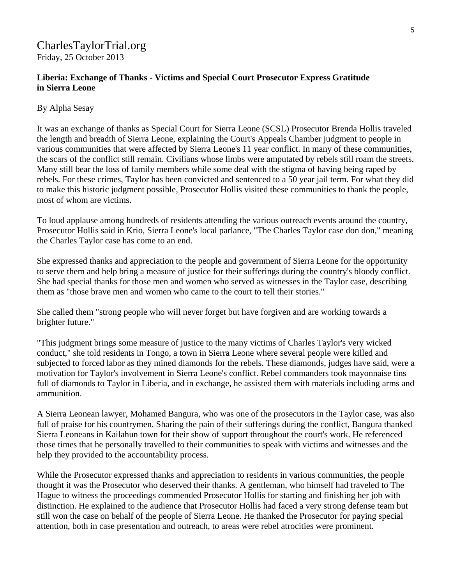# CharlesTaylorTrial.org Friday, 25 October 2013

#### **Liberia: Exchange of Thanks - Victims and Special Court Prosecutor Express Gratitude in Sierra Leone**

#### By Alpha Sesay

It was an exchange of thanks as Special Court for Sierra Leone (SCSL) Prosecutor Brenda Hollis traveled the length and breadth of Sierra Leone, explaining the Court's Appeals Chamber judgment to people in various communities that were affected by Sierra Leone's 11 year conflict. In many of these communities, the scars of the conflict still remain. Civilians whose limbs were amputated by rebels still roam the streets. Many still bear the loss of family members while some deal with the stigma of having being raped by rebels. For these crimes, Taylor has been convicted and sentenced to a 50 year jail term. For what they did to make this historic judgment possible, Prosecutor Hollis visited these communities to thank the people, most of whom are victims.

To loud applause among hundreds of residents attending the various outreach events around the country, Prosecutor Hollis said in Krio, Sierra Leone's local parlance, "The Charles Taylor case don don," meaning the Charles Taylor case has come to an end.

She expressed thanks and appreciation to the people and government of Sierra Leone for the opportunity to serve them and help bring a measure of justice for their sufferings during the country's bloody conflict. She had special thanks for those men and women who served as witnesses in the Taylor case, describing them as "those brave men and women who came to the court to tell their stories."

She called them "strong people who will never forget but have forgiven and are working towards a brighter future."

"This judgment brings some measure of justice to the many victims of Charles Taylor's very wicked conduct," she told residents in Tongo, a town in Sierra Leone where several people were killed and subjected to forced labor as they mined diamonds for the rebels. These diamonds, judges have said, were a motivation for Taylor's involvement in Sierra Leone's conflict. Rebel commanders took mayonnaise tins full of diamonds to Taylor in Liberia, and in exchange, he assisted them with materials including arms and ammunition.

A Sierra Leonean lawyer, Mohamed Bangura, who was one of the prosecutors in the Taylor case, was also full of praise for his countrymen. Sharing the pain of their sufferings during the conflict, Bangura thanked Sierra Leoneans in Kailahun town for their show of support throughout the court's work. He referenced those times that he personally travelled to their communities to speak with victims and witnesses and the help they provided to the accountability process.

While the Prosecutor expressed thanks and appreciation to residents in various communities, the people thought it was the Prosecutor who deserved their thanks. A gentleman, who himself had traveled to The Hague to witness the proceedings commended Prosecutor Hollis for starting and finishing her job with distinction. He explained to the audience that Prosecutor Hollis had faced a very strong defense team but still won the case on behalf of the people of Sierra Leone. He thanked the Prosecutor for paying special attention, both in case presentation and outreach, to areas were rebel atrocities were prominent.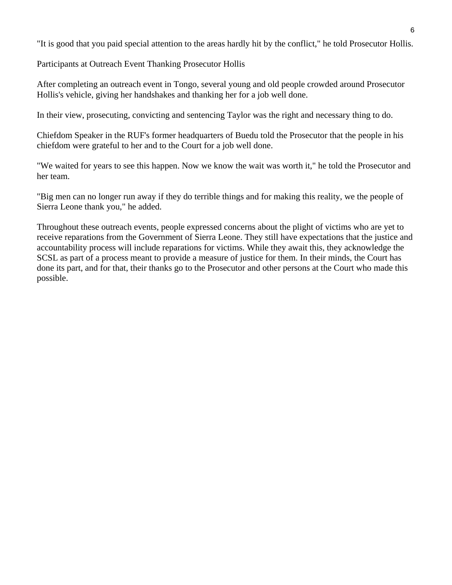"It is good that you paid special attention to the areas hardly hit by the conflict," he told Prosecutor Hollis.

Participants at Outreach Event Thanking Prosecutor Hollis

After completing an outreach event in Tongo, several young and old people crowded around Prosecutor Hollis's vehicle, giving her handshakes and thanking her for a job well done.

In their view, prosecuting, convicting and sentencing Taylor was the right and necessary thing to do.

Chiefdom Speaker in the RUF's former headquarters of Buedu told the Prosecutor that the people in his chiefdom were grateful to her and to the Court for a job well done.

"We waited for years to see this happen. Now we know the wait was worth it," he told the Prosecutor and her team.

"Big men can no longer run away if they do terrible things and for making this reality, we the people of Sierra Leone thank you," he added.

Throughout these outreach events, people expressed concerns about the plight of victims who are yet to receive reparations from the Government of Sierra Leone. They still have expectations that the justice and accountability process will include reparations for victims. While they await this, they acknowledge the SCSL as part of a process meant to provide a measure of justice for them. In their minds, the Court has done its part, and for that, their thanks go to the Prosecutor and other persons at the Court who made this possible.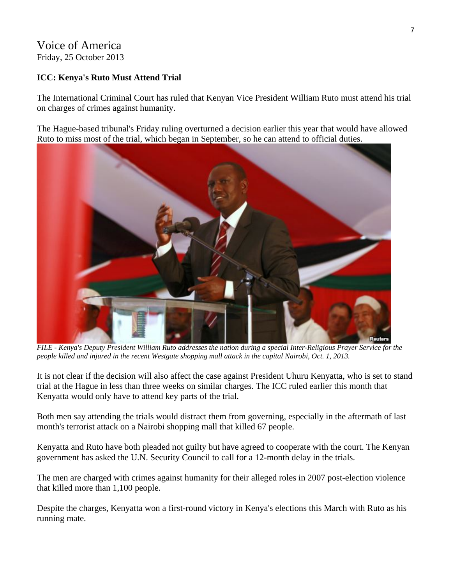# Voice of America Friday, 25 October 2013

#### **ICC: Kenya's Ruto Must Attend Trial**

The International Criminal Court has ruled that Kenyan Vice President William Ruto must attend his trial on charges of crimes against humanity.

The Hague-based tribunal's Friday ruling overturned a decision earlier this year that would have allowed Ruto to miss most of the trial, which began in September, so he can attend to official duties.



*FILE - Kenya's Deputy President William Ruto addresses the nation during a special Inter-Religious Prayer Service for the people killed and injured in the recent Westgate shopping mall attack in the capital Nairobi, Oct. 1, 2013.* 

It is not clear if the decision will also affect the case against President Uhuru Kenyatta, who is set to stand trial at the Hague in less than three weeks on similar charges. The ICC ruled earlier this month that Kenyatta would only have to attend key parts of the trial.

Both men say attending the trials would distract them from governing, especially in the aftermath of last month's terrorist attack on a Nairobi shopping mall that killed 67 people.

Kenyatta and Ruto have both pleaded not guilty but have agreed to cooperate with the court. The Kenyan government has asked the U.N. Security Council to call for a 12-month delay in the trials.

The men are charged with crimes against humanity for their alleged roles in 2007 post-election violence that killed more than 1,100 people.

Despite the charges, Kenyatta won a first-round victory in Kenya's elections this March with Ruto as his running mate.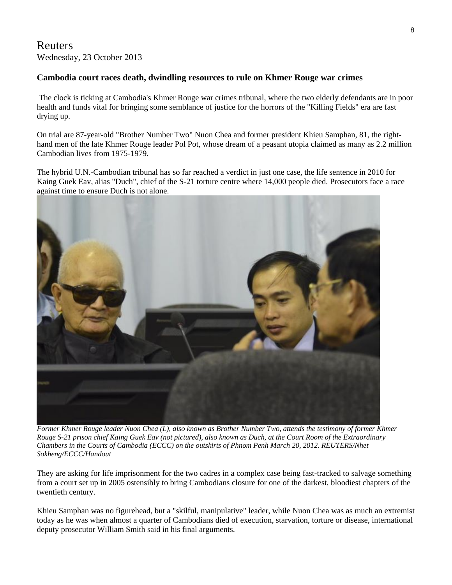#### Reuters Wednesday, 23 October 2013

#### **Cambodia court races death, dwindling resources to rule on Khmer Rouge war crimes**

 The clock is ticking at Cambodia's Khmer Rouge war crimes tribunal, where the two elderly defendants are in poor health and funds vital for bringing some semblance of justice for the horrors of the "Killing Fields" era are fast drying up.

On trial are 87-year-old "Brother Number Two" Nuon Chea and former president Khieu Samphan, 81, the righthand men of the late Khmer Rouge leader Pol Pot, whose dream of a peasant utopia claimed as many as 2.2 million Cambodian lives from 1975-1979.

The hybrid U.N.-Cambodian tribunal has so far reached a verdict in just one case, the life sentence in 2010 for Kaing Guek Eav, alias "Duch", chief of the S-21 torture centre where 14,000 people died. Prosecutors face a race against time to ensure Duch is not alone.



*Former Khmer Rouge leader Nuon Chea (L), also known as Brother Number Two, attends the testimony of former Khmer Rouge S-21 prison chief Kaing Guek Eav (not pictured), also known as Duch, at the Court Room of the Extraordinary Chambers in the Courts of Cambodia (ECCC) on the outskirts of Phnom Penh March 20, 2012. REUTERS/Nhet Sokheng/ECCC/Handout* 

They are asking for life imprisonment for the two cadres in a complex case being fast-tracked to salvage something from a court set up in 2005 ostensibly to bring Cambodians closure for one of the darkest, bloodiest chapters of the twentieth century.

Khieu Samphan was no figurehead, but a "skilful, manipulative" leader, while Nuon Chea was as much an extremist today as he was when almost a quarter of Cambodians died of execution, starvation, torture or disease, international deputy prosecutor William Smith said in his final arguments.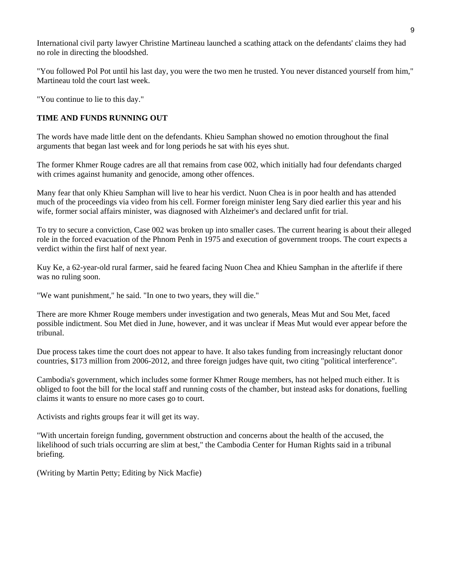International civil party lawyer Christine Martineau launched a scathing attack on the defendants' claims they had no role in directing the bloodshed.

"You followed Pol Pot until his last day, you were the two men he trusted. You never distanced yourself from him," Martineau told the court last week.

"You continue to lie to this day."

#### **TIME AND FUNDS RUNNING OUT**

The words have made little dent on the defendants. Khieu Samphan showed no emotion throughout the final arguments that began last week and for long periods he sat with his eyes shut.

The former Khmer Rouge cadres are all that remains from case 002, which initially had four defendants charged with crimes against humanity and genocide, among other offences.

Many fear that only Khieu Samphan will live to hear his verdict. Nuon Chea is in poor health and has attended much of the proceedings via video from his cell. Former foreign minister Ieng Sary died earlier this year and his wife, former social affairs minister, was diagnosed with Alzheimer's and declared unfit for trial.

To try to secure a conviction, Case 002 was broken up into smaller cases. The current hearing is about their alleged role in the forced evacuation of the Phnom Penh in 1975 and execution of government troops. The court expects a verdict within the first half of next year.

Kuy Ke, a 62-year-old rural farmer, said he feared facing Nuon Chea and Khieu Samphan in the afterlife if there was no ruling soon.

"We want punishment," he said. "In one to two years, they will die."

There are more Khmer Rouge members under investigation and two generals, Meas Mut and Sou Met, faced possible indictment. Sou Met died in June, however, and it was unclear if Meas Mut would ever appear before the tribunal.

Due process takes time the court does not appear to have. It also takes funding from increasingly reluctant donor countries, \$173 million from 2006-2012, and three foreign judges have quit, two citing "political interference".

Cambodia's government, which includes some former Khmer Rouge members, has not helped much either. It is obliged to foot the bill for the local staff and running costs of the chamber, but instead asks for donations, fuelling claims it wants to ensure no more cases go to court.

Activists and rights groups fear it will get its way.

"With uncertain foreign funding, government obstruction and concerns about the health of the accused, the likelihood of such trials occurring are slim at best," the Cambodia Center for Human Rights said in a tribunal briefing.

(Writing by Martin Petty; Editing by Nick Macfie)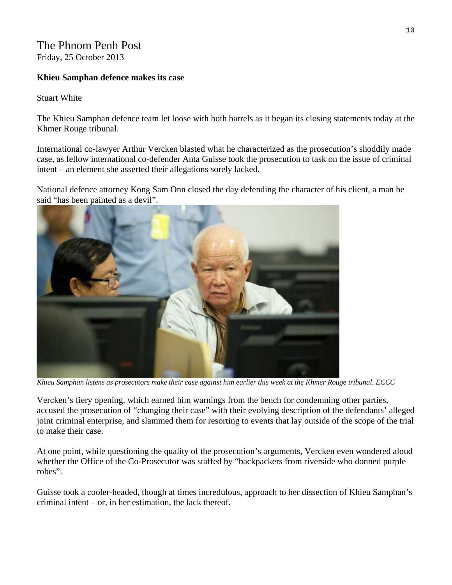### The Phnom Penh Post Friday, 25 October 2013

#### **Khieu Samphan defence makes its case**

Stuart White

The Khieu Samphan defence team let loose with both barrels as it began its closing statements today at the Khmer Rouge tribunal.

International co-lawyer Arthur Vercken blasted what he characterized as the prosecution's shoddily made case, as fellow international co-defender Anta Guisse took the prosecution to task on the issue of criminal intent – an element she asserted their allegations sorely lacked.

National defence attorney Kong Sam Onn closed the day defending the character of his client, a man he said "has been painted as a devil".



*Khieu Samphan listens as prosecutors make their case against him earlier this week at the Khmer Rouge tribunal. ECCC* 

Vercken's fiery opening, which earned him warnings from the bench for condemning other parties, accused the prosecution of "changing their case" with their evolving description of the defendants' alleged joint criminal enterprise, and slammed them for resorting to events that lay outside of the scope of the trial to make their case.

At one point, while questioning the quality of the prosecution's arguments, Vercken even wondered aloud whether the Office of the Co-Prosecutor was staffed by "backpackers from riverside who donned purple robes".

Guisse took a cooler-headed, though at times incredulous, approach to her dissection of Khieu Samphan's criminal intent – or, in her estimation, the lack thereof.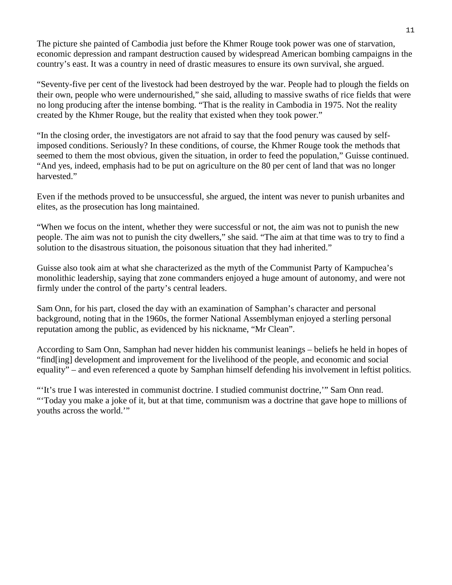The picture she painted of Cambodia just before the Khmer Rouge took power was one of starvation, economic depression and rampant destruction caused by widespread American bombing campaigns in the country's east. It was a country in need of drastic measures to ensure its own survival, she argued.

"Seventy-five per cent of the livestock had been destroyed by the war. People had to plough the fields on their own, people who were undernourished," she said, alluding to massive swaths of rice fields that were no long producing after the intense bombing. "That is the reality in Cambodia in 1975. Not the reality created by the Khmer Rouge, but the reality that existed when they took power."

"In the closing order, the investigators are not afraid to say that the food penury was caused by selfimposed conditions. Seriously? In these conditions, of course, the Khmer Rouge took the methods that seemed to them the most obvious, given the situation, in order to feed the population," Guisse continued. "And yes, indeed, emphasis had to be put on agriculture on the 80 per cent of land that was no longer harvested."

Even if the methods proved to be unsuccessful, she argued, the intent was never to punish urbanites and elites, as the prosecution has long maintained.

"When we focus on the intent, whether they were successful or not, the aim was not to punish the new people. The aim was not to punish the city dwellers," she said. "The aim at that time was to try to find a solution to the disastrous situation, the poisonous situation that they had inherited."

Guisse also took aim at what she characterized as the myth of the Communist Party of Kampuchea's monolithic leadership, saying that zone commanders enjoyed a huge amount of autonomy, and were not firmly under the control of the party's central leaders.

Sam Onn, for his part, closed the day with an examination of Samphan's character and personal background, noting that in the 1960s, the former National Assemblyman enjoyed a sterling personal reputation among the public, as evidenced by his nickname, "Mr Clean".

According to Sam Onn, Samphan had never hidden his communist leanings – beliefs he held in hopes of "find[ing] development and improvement for the livelihood of the people, and economic and social equality" – and even referenced a quote by Samphan himself defending his involvement in leftist politics.

"'It's true I was interested in communist doctrine. I studied communist doctrine,'" Sam Onn read. "'Today you make a joke of it, but at that time, communism was a doctrine that gave hope to millions of youths across the world.'"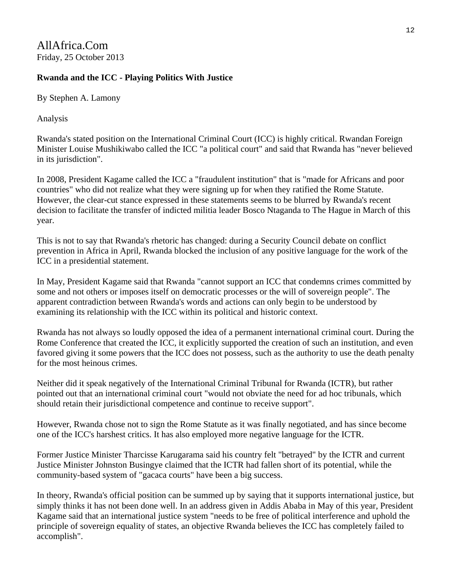AllAfrica.Com Friday, 25 October 2013

#### **Rwanda and the ICC - Playing Politics With Justice**

By Stephen A. Lamony

Analysis

Rwanda's stated position on the International Criminal Court (ICC) is highly critical. Rwandan Foreign Minister Louise Mushikiwabo called the ICC "a political court" and said that Rwanda has "never believed in its jurisdiction".

In 2008, President Kagame called the ICC a "fraudulent institution" that is "made for Africans and poor countries" who did not realize what they were signing up for when they ratified the Rome Statute. However, the clear-cut stance expressed in these statements seems to be blurred by Rwanda's recent decision to facilitate the transfer of indicted militia leader Bosco Ntaganda to The Hague in March of this year.

This is not to say that Rwanda's rhetoric has changed: during a Security Council debate on conflict prevention in Africa in April, Rwanda blocked the inclusion of any positive language for the work of the ICC in a presidential statement.

In May, President Kagame said that Rwanda "cannot support an ICC that condemns crimes committed by some and not others or imposes itself on democratic processes or the will of sovereign people". The apparent contradiction between Rwanda's words and actions can only begin to be understood by examining its relationship with the ICC within its political and historic context.

Rwanda has not always so loudly opposed the idea of a permanent international criminal court. During the Rome Conference that created the ICC, it explicitly supported the creation of such an institution, and even favored giving it some powers that the ICC does not possess, such as the authority to use the death penalty for the most heinous crimes.

Neither did it speak negatively of the International Criminal Tribunal for Rwanda (ICTR), but rather pointed out that an international criminal court "would not obviate the need for ad hoc tribunals, which should retain their jurisdictional competence and continue to receive support".

However, Rwanda chose not to sign the Rome Statute as it was finally negotiated, and has since become one of the ICC's harshest critics. It has also employed more negative language for the ICTR.

Former Justice Minister Tharcisse Karugarama said his country felt "betrayed" by the ICTR and current Justice Minister Johnston Busingye claimed that the ICTR had fallen short of its potential, while the community-based system of "gacaca courts" have been a big success.

In theory, Rwanda's official position can be summed up by saying that it supports international justice, but simply thinks it has not been done well. In an address given in Addis Ababa in May of this year, President Kagame said that an international justice system "needs to be free of political interference and uphold the principle of sovereign equality of states, an objective Rwanda believes the ICC has completely failed to accomplish".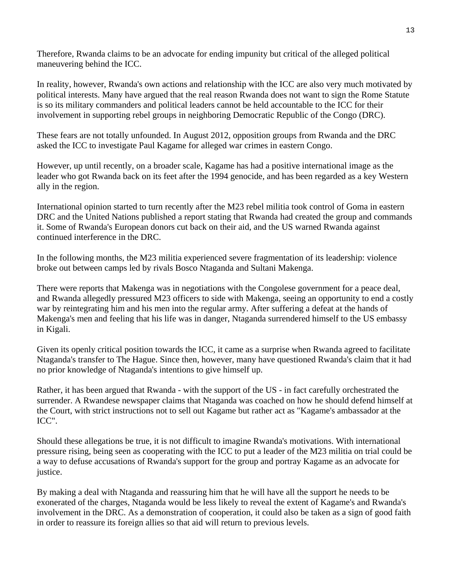Therefore, Rwanda claims to be an advocate for ending impunity but critical of the alleged political maneuvering behind the ICC.

In reality, however, Rwanda's own actions and relationship with the ICC are also very much motivated by political interests. Many have argued that the real reason Rwanda does not want to sign the Rome Statute is so its military commanders and political leaders cannot be held accountable to the ICC for their involvement in supporting rebel groups in neighboring Democratic Republic of the Congo (DRC).

These fears are not totally unfounded. In August 2012, opposition groups from Rwanda and the DRC asked the ICC to investigate Paul Kagame for alleged war crimes in eastern Congo.

However, up until recently, on a broader scale, Kagame has had a positive international image as the leader who got Rwanda back on its feet after the 1994 genocide, and has been regarded as a key Western ally in the region.

International opinion started to turn recently after the M23 rebel militia took control of Goma in eastern DRC and the United Nations published a report stating that Rwanda had created the group and commands it. Some of Rwanda's European donors cut back on their aid, and the US warned Rwanda against continued interference in the DRC.

In the following months, the M23 militia experienced severe fragmentation of its leadership: violence broke out between camps led by rivals Bosco Ntaganda and Sultani Makenga.

There were reports that Makenga was in negotiations with the Congolese government for a peace deal, and Rwanda allegedly pressured M23 officers to side with Makenga, seeing an opportunity to end a costly war by reintegrating him and his men into the regular army. After suffering a defeat at the hands of Makenga's men and feeling that his life was in danger, Ntaganda surrendered himself to the US embassy in Kigali.

Given its openly critical position towards the ICC, it came as a surprise when Rwanda agreed to facilitate Ntaganda's transfer to The Hague. Since then, however, many have questioned Rwanda's claim that it had no prior knowledge of Ntaganda's intentions to give himself up.

Rather, it has been argued that Rwanda - with the support of the US - in fact carefully orchestrated the surrender. A Rwandese newspaper claims that Ntaganda was coached on how he should defend himself at the Court, with strict instructions not to sell out Kagame but rather act as "Kagame's ambassador at the ICC".

Should these allegations be true, it is not difficult to imagine Rwanda's motivations. With international pressure rising, being seen as cooperating with the ICC to put a leader of the M23 militia on trial could be a way to defuse accusations of Rwanda's support for the group and portray Kagame as an advocate for justice.

By making a deal with Ntaganda and reassuring him that he will have all the support he needs to be exonerated of the charges, Ntaganda would be less likely to reveal the extent of Kagame's and Rwanda's involvement in the DRC. As a demonstration of cooperation, it could also be taken as a sign of good faith in order to reassure its foreign allies so that aid will return to previous levels.